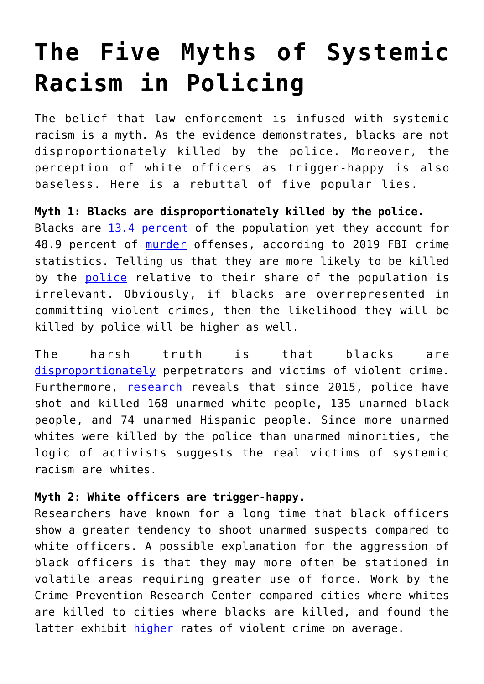# **[The Five Myths of Systemic](https://intellectualtakeout.org/2021/05/the-five-myths-of-systemic-racism-in-policing/) [Racism in Policing](https://intellectualtakeout.org/2021/05/the-five-myths-of-systemic-racism-in-policing/)**

The belief that law enforcement is infused with systemic racism is a myth. As the evidence demonstrates, blacks are not disproportionately killed by the police. Moreover, the perception of white officers as trigger-happy is also baseless. Here is a rebuttal of five popular lies.

**Myth 1: Blacks are disproportionately killed by the police.** Blacks are [13.4 percent](https://www.census.gov/quickfacts/fact/table/US/PST045219) of the population yet they account for 48.9 percent of [murder](https://ucr.fbi.gov/crime-in-the-u.s/2019/crime-in-the-u.s.-2019/tables/expanded-homicide-data-table-6.xls) offenses, according to 2019 FBI crime statistics. Telling us that they are more likely to be killed by the **[police](https://www.hsph.harvard.edu/news/hsph-in-the-news/blacks-whites-police-deaths-disparity/)** relative to their share of the population is irrelevant. Obviously, if blacks are overrepresented in committing violent crimes, then the likelihood they will be killed by police will be higher as well.

The harsh truth is that blacks are [disproportionately](https://www.sciencedirect.com/science/article/abs/pii/S0094119010000343) perpetrators and victims of violent crime. Furthermore, [research](https://www.maciverinstitute.com/2021/04/the-truth-about-police-shootings-in-america/) reveals that since 2015, police have shot and killed 168 unarmed white people, 135 unarmed black people, and 74 unarmed Hispanic people. Since more unarmed whites were killed by the police than unarmed minorities, the logic of activists suggests the real victims of systemic racism are whites.

## **Myth 2: White officers are trigger-happy.**

Researchers have known for a long time that black officers show a greater tendency to shoot unarmed suspects compared to white officers. A possible explanation for the aggression of black officers is that they may more often be stationed in volatile areas requiring greater use of force. Work by the Crime Prevention Research Center compared cities where whites are killed to cities where blacks are killed, and found the latter exhibit [higher](https://www.realclearpolitics.com/articles/2021/04/22/data_undercuts_myth_of_racism_in_police_killings_145640.html) rates of violent crime on average.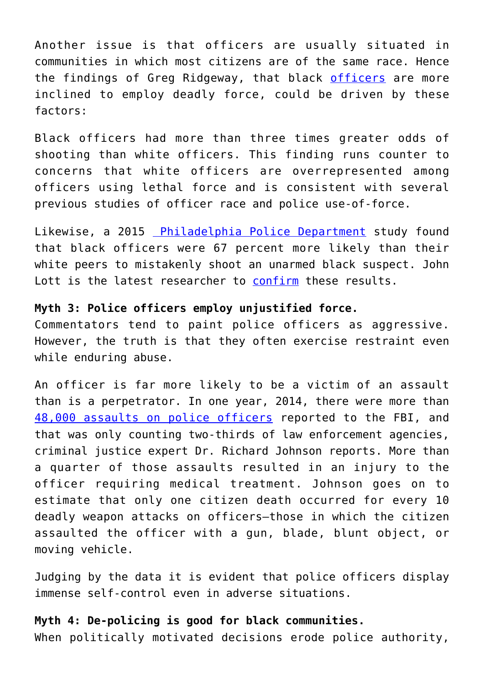Another issue is that officers are usually situated in communities in which most citizens are of the same race. Hence the findings of Greg Ridgeway, that black [officers](https://amstat.tandfonline.com/doi/full/10.1080/2330443X.2015.1129918#.YJl8otVKiM9) are more inclined to employ deadly force, could be driven by these factors:

Black officers had more than three times greater odds of shooting than white officers. This finding runs counter to concerns that white officers are overrepresented among officers using lethal force and is consistent with several previous studies of officer race and police use-of-force.

Likewise, a 2015 [Philadelphia Police Department](https://www.nationalreview.com/2019/07/white-cops-dont-commit-more-shootings/) study found that black officers were 67 percent more likely than their white peers to mistakenly shoot an unarmed black suspect. John Lott is the latest researcher to [confirm](https://www.realclearpolitics.com/articles/2021/04/22/data_undercuts_myth_of_racism_in_police_killings_145640.html) these results.

#### **Myth 3: Police officers employ unjustified force.**

Commentators tend to paint police officers as aggressive. However, the truth is that they often exercise restraint even while enduring abuse.

An officer is far more likely to be a victim of an assault than is a perpetrator. In one year, 2014, there were more than [48,000 assaults on police officers](https://www.dolanconsultinggroup.com/wp-content/uploads/2019/02/Dispelling-the-Myths-Surrounding-Police-Use-of-Lethal-Force.pdf) reported to the FBI, and that was only counting two-thirds of law enforcement agencies, criminal justice expert Dr. Richard Johnson reports. More than a quarter of those assaults resulted in an injury to the officer requiring medical treatment. Johnson goes on to estimate that only one citizen death occurred for every 10 deadly weapon attacks on officers—those in which the citizen assaulted the officer with a gun, blade, blunt object, or moving vehicle.

Judging by the data it is evident that police officers display immense self-control even in adverse situations.

#### **Myth 4: De-policing is good for black communities.**

When politically motivated decisions erode police authority,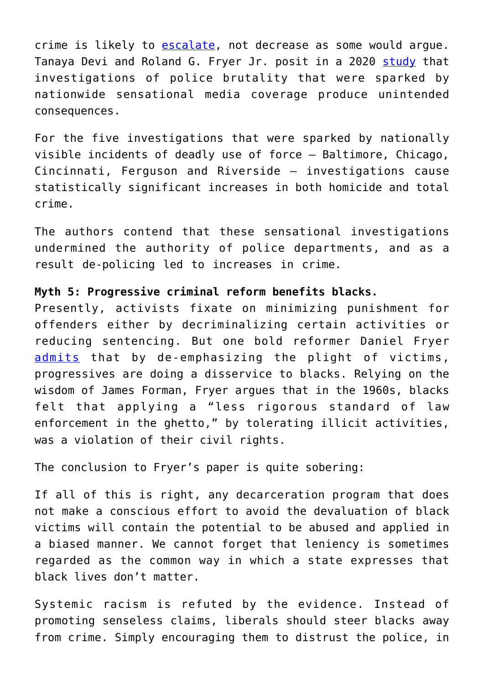crime is likely to [escalate,](https://www.wsj.com/articles/defund-police-watch-crime-return-11591658454) not decrease as some would argue. Tanaya Devi and Roland G. Fryer Jr. posit in a 2020 [study](https://www.nber.org/system/files/working_papers/w27324/w27324.pdf) that investigations of police brutality that were sparked by nationwide sensational media coverage produce unintended consequences.

For the five investigations that were sparked by nationally visible incidents of deadly use of force – Baltimore, Chicago, Cincinnati, Ferguson and Riverside – investigations cause statistically significant increases in both homicide and total crime.

The authors contend that these sensational investigations undermined the authority of police departments, and as a result de-policing led to increases in crime.

### **Myth 5: Progressive criminal reform benefits blacks.**

Presently, activists fixate on minimizing punishment for offenders either by decriminalizing certain activities or reducing sentencing. But one bold reformer Daniel Fryer [admits](https://scholarlycommons.law.northwestern.edu/cgi/viewcontent.cgi?article=7681&context=jclc) that by de-emphasizing the plight of victims, progressives are doing a disservice to blacks. Relying on the wisdom of James Forman, Fryer argues that in the 1960s, blacks felt that applying a "less rigorous standard of law enforcement in the ghetto," by tolerating illicit activities, was a violation of their civil rights.

The conclusion to Fryer's paper is quite sobering:

If all of this is right, any decarceration program that does not make a conscious effort to avoid the devaluation of black victims will contain the potential to be abused and applied in a biased manner. We cannot forget that leniency is sometimes regarded as the common way in which a state expresses that black lives don't matter.

Systemic racism is refuted by the evidence. Instead of promoting senseless claims, liberals should steer blacks away from crime. Simply encouraging them to distrust the police, in